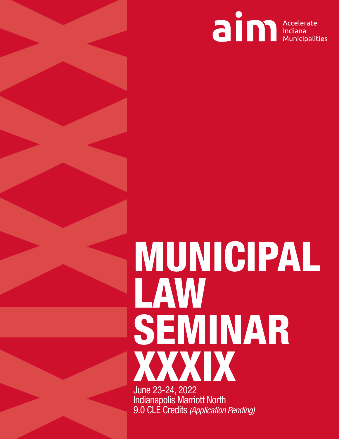

# **EXAMPLE SENINAR<br>
XXXIX<br>
XXXIX<br>
XXXIX<br>
XXXIX<br>
XXXIX** LAW SEMINAR XXXIX June 23-24, 2022

Indianapolis Marriott North 9.0 CLE Credits *(Application Pending)*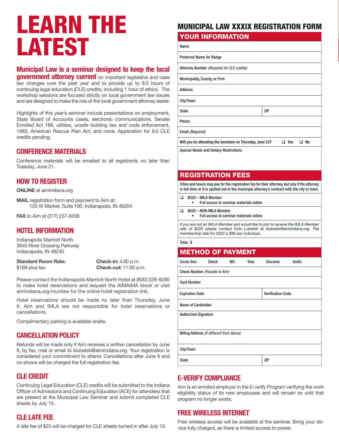### LEARN THE LATEST

#### Municipal Law is a seminar designed to keep the local

government attorney current on important legislative and case law changes over the past year and to provide up to 9.0 hours of continuing legal education (CLE) credits, including 1 hour of ethics. The workshop sessions are focused strictly on local government law issues and are designed to make the role of the local government attorney easier.

Highlights of this year's seminar include presentations on employment, State Board of Accounts cases, electronic communications, Senate Enrolled Act 166, utilities, unsafe building law and code enforcement, 1983, American Rescue Plan Act, and more. Application for 9.0 CLE credits pending.

#### CONFERENCE MATERIALS

Conference materials will be emailed to all registrants no later than Tuesday, June 21.

#### HOW TO REGISTER

ONLINE at aimindiana.org

MAIL registration form and payment to Aim at: 125 W Market, Suite 100, Indianapolis, IN 46204

FAX to Aim at (317) 237-6206

#### HOTEL INFORMATION

Indianapolis Marriott North 3645 River Crossing Parkway Indianapolis, IN 46240

Standard Room Rate: Check-in: 4:00 p.m.

\$169 plus tax **Check-out:** 11:00 a.m.

Please contact the Indianapolis Marriott North Hotel at (800) 228-9290 to make hotel reservations and request the AIMAIMA block or visit aimindiana.org/munilaw for the online hotel registration link.

Hotel reservations should be made no later than Thursday, June 9. Aim and IMLA are not responsible for hotel reservations or cancellations.

Complimentary parking is available onsite.

#### CANCELLATION POLICY

Refunds will be made only if Aim receives a written cancellation by June 9, by fax, mail or email to klubelski@aimindiana.org. Your registration is considered your commitment to attend. Cancellations after June 9 and no shows will be charged the full registration fee.

#### CLE CREDIT

Continuing Legal Education (CLE) credits will be submitted to the Indiana Officer of Admissions and Continuing Education (ACE) for attendees that are present at the Municipal Law Seminar and submit completed CLE sheets by July 15.

#### CLE LATE FEE

A late fee of \$25 will be charged for CLE sheets turned in after July 15.

#### MUNICIPAL LAW XXXIX REGISTRATION FORM

XXXIX

#### YOUR INFORMATION

Name

Preferred Name for Badge

Attorney Number *(Required for CLE credits)*

Municipality, County, or Firm

Address

City/Town

State ZIP Phone

Email *(Required)*

Will you be attending the luncheon on Thursday, June 23?  $\Box$  Yes  $\Box$  No

Special Needs and Dietary Restrictions

#### REGISTRATION FEES

Cities and towns may pay for the registration fee for their attorney, but only if the attorney is full-time or it is spelled out in the municipal attorney's contract with the city or town.

| $\Box$ \$320 – IMLA Member              |
|-----------------------------------------|
| Full access to seminar materials online |

 $\Box$  \$420 – NON-IMLA Member

• Full access to seminar materials online

*If you are not an IMLA Member and would like to join to receive the IMLA Member rate of \$320 please contact Kyle Lubelski at klubelski@aimindiana.org. The membership rate for 2022 is \$85 per individual.*

Total: \$

#### METHOD OF PAYMENT

| Circle One:                               | Check | МC | Visa                     | <b>Discover</b> | AmEx |  |  |  |  |
|-------------------------------------------|-------|----|--------------------------|-----------------|------|--|--|--|--|
| Check Number (Payable to Aim)             |       |    |                          |                 |      |  |  |  |  |
| <b>Card Number</b>                        |       |    |                          |                 |      |  |  |  |  |
| <b>Expiration Date</b>                    |       |    | <b>Verification Code</b> |                 |      |  |  |  |  |
| <b>Name of Cardholder</b>                 |       |    |                          |                 |      |  |  |  |  |
| <b>Authorized Signature</b>               |       |    |                          |                 |      |  |  |  |  |
|                                           |       |    |                          |                 |      |  |  |  |  |
| Billing Address (If different from above) |       |    |                          |                 |      |  |  |  |  |
|                                           |       |    |                          |                 |      |  |  |  |  |
| City/Town                                 |       |    |                          |                 |      |  |  |  |  |
| <b>State</b>                              |       |    |                          | ZIP             |      |  |  |  |  |

#### E-VERIFY COMPLIANCE

Aim is an enrolled employer in the E-verify Program verifying the work eligibility status of its new employees and will remain so until that program no longer exists.

#### **FREE WIRELESS INTERNET**

Free wireless access will be available at the seminar. Bring your device fully charged, as there is limited access to power.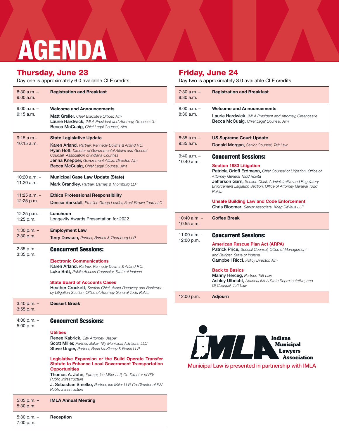## Thursday, June 23<br>
Day one is approximately 6.0 available CLE credits.<br>
Day one is approximately 6.0 available CLE credits.<br>
Day two is approximately 3.0 available CLE credits. AGENDA

#### Thursday, June 23

Day one is approximately 6.0 available CLE credits.

| $8:30$ a.m. $-$<br>$9:00$ a.m.  | <b>Registration and Breakfast</b>                                                                                                                                                                                                                                                                                                                                                                         |
|---------------------------------|-----------------------------------------------------------------------------------------------------------------------------------------------------------------------------------------------------------------------------------------------------------------------------------------------------------------------------------------------------------------------------------------------------------|
| $9:00$ a.m. $-$<br>$9:15$ a.m.  | <b>Welcome and Announcements</b><br><b>Matt Greller, Chief Executive Officer, Aim</b><br><b>Laurie Hardwick, IMLA President and Attorney, Greencastle</b><br><b>Becca McCuaig, Chief Legal Counsel, Aim</b>                                                                                                                                                                                               |
| $9:15$ a.m. $-$<br>$10:15$ a.m. | <b>State Legislative Update</b><br><b>Karen Arland, Partner, Kennedy Downs &amp; Arland P.C.</b><br><b>Ryan Hoff, Director of Governmental Affairs and General</b><br>Counsel, Association of Indiana Counties<br><b>Jenna Knepper, Government Affairs Director, Aim</b><br><b>Becca McCuaig, Chief Legal Counsel, Aim</b>                                                                                |
| 10:20 a.m. -<br>11:20 a.m.      | <b>Municipal Case Law Update (State)</b><br><b>Mark Crandley, Partner, Barnes &amp; Thornburg LLP</b>                                                                                                                                                                                                                                                                                                     |
| $11:25$ a.m. $-$<br>12:25 p.m.  | <b>Ethics Professional Responsibility</b><br>Denise Barkdull, Practice Group Leader, Frost Brown Todd LLC                                                                                                                                                                                                                                                                                                 |
| 12:25 p.m. -<br>1:25 p.m.       | Luncheon<br>Longevity Awards Presentation for 2022                                                                                                                                                                                                                                                                                                                                                        |
| 1:30 p.m. –<br>2:30 p.m.        | <b>Employment Law</b><br>Terry Dawson, Partner, Barnes & Thornburg LLP                                                                                                                                                                                                                                                                                                                                    |
| 2:35 p.m. –<br>$3:35$ p.m.      | <b>Concurrent Sessions:</b>                                                                                                                                                                                                                                                                                                                                                                               |
|                                 | <b>Electronic Communications</b><br><b>Karen Arland, Partner, Kennedy Downs &amp; Arland P.C.</b><br><b>Luke Britt, Public Access Counselor, State of Indiana</b>                                                                                                                                                                                                                                         |
|                                 | <b>State Board of Accounts Cases</b><br><b>Heather Crockett, Section Chief, Asset Recovery and Bankrupt-</b><br>cy Litigation Section, Office of Attorney General Todd Rokita                                                                                                                                                                                                                             |
| 3:40 p.m. –<br>$3:55$ p.m.      | <b>Dessert Break</b>                                                                                                                                                                                                                                                                                                                                                                                      |
| 4:00 p.m. –<br>5:00 p.m.        | <b>Concurrent Sessions:</b><br><b>Utilities</b><br>Renee Kabrick, City Attorney, Jasper<br><b>Scott Miller,</b> Partner, Baker Tilly Municipal Advisors, LLC                                                                                                                                                                                                                                              |
|                                 | <b>Steve Unger, Partner, Bose McKinney &amp; Evans LLP</b><br>Legislative Expansion or the Build Operate Transfer<br><b>Statute to Enhance Local Government Transportation</b><br><b>Opportunities</b><br><b>Thomas A. John, Partner, Ice Miller LLP, Co-Director of P3/</b><br>Public Infrastructure<br><b>J. Sebastian Smelko, Partner, Ice Miller LLP, Co-Director of P3/</b><br>Public Infrastructure |
| $5:05$ p.m. $-$<br>5:30 p.m.    | <b>IMLA Annual Meeting</b>                                                                                                                                                                                                                                                                                                                                                                                |
| 5:30 p.m. –<br>7:00 p.m.        | Reception                                                                                                                                                                                                                                                                                                                                                                                                 |

#### Friday, June 24

Day two is approximately 3.0 available CLE credits.

| $7:30$ a.m. $-$<br>8:30a.m.      | <b>Registration and Breakfast</b>                                                                                                                                                                                                                                                                                                                                                                                             |
|----------------------------------|-------------------------------------------------------------------------------------------------------------------------------------------------------------------------------------------------------------------------------------------------------------------------------------------------------------------------------------------------------------------------------------------------------------------------------|
| $8:00a.m. -$<br>8:30a.m.         | <b>Welcome and Announcements</b><br>Laurie Hardwick, IMLA President and Attorney, Greencastle<br>Becca McCuaig, Chief Legal Counsel, Aim                                                                                                                                                                                                                                                                                      |
| $8:35$ a.m. $-$<br>$9:35$ a.m.   | <b>US Supreme Court Update</b><br>Donald Morgan, Senior Counsel, Taft Law                                                                                                                                                                                                                                                                                                                                                     |
| $9:40$ a.m. $-$<br>$10:40$ a.m.  | <b>Concurrent Sessions:</b><br><b>Section 1983 Litigation</b><br>Patricia Orloff Erdmann, Chief Counsel of Litigation, Office of<br>Attorney General Todd Rokita<br><b>Jefferson Garn, Section Chief, Administrative and Regulatory</b><br>Enforcement Litigation Section, Office of Attorney General Todd<br>Rokita<br><b>Unsafe Building Law and Code Enforcement</b><br>Chris Bloomer, Senior Associate, Krieg DeVault LLP |
| $10:40$ a.m. $-$<br>$10:55$ a.m. | <b>Coffee Break</b>                                                                                                                                                                                                                                                                                                                                                                                                           |
| 11:00 $a.m. -$<br>12:00 p.m.     | <b>Concurrent Sessions:</b><br><b>American Rescue Plan Act (ARPA)</b><br>Patrick Price, Special Counsel, Office of Management<br>and Budget, State of Indiana<br><b>Campbell Ricci, Policy Director, Aim</b><br><b>Back to Basics</b><br>Manny Herceg, Partner, Taft Law<br>Ashley Ulbricht, National IMLA State Representative, and<br>Of Counsel, Taft Law                                                                  |
| 12:00 p.m.                       | <b>Adjourn</b>                                                                                                                                                                                                                                                                                                                                                                                                                |